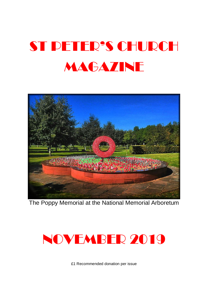# ST PETER'S CHURCH **MAGAZINE**



The Poppy Memorial at the National Memorial Arboretum



£1 Recommended donation per issue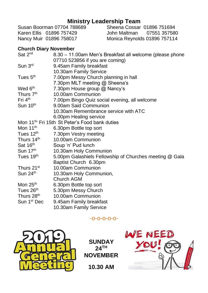**Ministry Leadership Team**<br>Susan Boorman 07704 788689 Sheena Cossar Sheena Cossar 01896 751694<br>John Maltman 07551 357580 Karen Ellis 01896 757429<br>Nancy Muir 01896 758017 Monica Reynolds 01896 757114

#### **Church Diary November**

| Sat 2 <sup>nd</sup>                                       | 8.30 - 11.00am Men's Breakfast all welcome (please phone |
|-----------------------------------------------------------|----------------------------------------------------------|
|                                                           | 07710 523856 if you are coming)                          |
| Sun 3rd                                                   | 9.45am Family breakfast                                  |
|                                                           | 10.30am Family Service                                   |
| Tues 5 <sup>th</sup>                                      | 7.00pm Messy Church planning in hall                     |
|                                                           | 7.30pm MLT meeting @ Sheena's                            |
| Wed 6 <sup>th</sup>                                       | 7.30pm House group @ Nancy's                             |
| Thurs 7 <sup>th</sup>                                     | 10.00am Communion                                        |
| Fri 4 <sup>th</sup>                                       | 7.00pm Bingo Quiz social evening, all welcome            |
| Sun 10 <sup>th</sup>                                      | 9.00am Said Communion                                    |
|                                                           | 10.30am Remembrance service with ATC                     |
|                                                           | 6.00pm Healing service                                   |
| Mon 11 <sup>th</sup> Fri 15th St Peter's Food bank duties |                                                          |
| Mon $11th$                                                | 6.30pm Bottle top sort                                   |
| Tues 12 <sup>th</sup>                                     | 7.30pm Vestry meeting                                    |
| Thurs 14 <sup>th</sup>                                    | 10.00am Communion                                        |
| Sat 16th                                                  | Soup 'n' Pud lunch                                       |
| Sun 17th                                                  | 10.30am Holy Communion                                   |
| Tues 19 <sup>th</sup>                                     | 5.00pm Galashiels Fellowship of Churches meeting @ Gala  |
|                                                           | Baptist Church 6.30pm                                    |
| Thurs 21 <sup>st</sup>                                    | 10.00am Communion                                        |
| Sun 24th                                                  | 10.30am Holy Communion,                                  |
|                                                           | Church AGM                                               |
| Mon 25 <sup>th</sup>                                      | 6.30pm Bottle top sort                                   |
| Tues 26 <sup>th</sup>                                     | 5.30pm Messy Church                                      |
| Thurs 28 <sup>th</sup>                                    | 10.00am Communion                                        |
| Sun 1 <sup>st</sup> Dec                                   | 9.45am Family breakfast                                  |
|                                                           |                                                          |

10.30am Family Service

-o-o-o-o-o-



**SUNDAY 24TH NOVEMBER 10.30 AM**

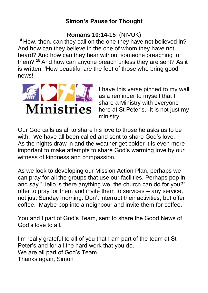# **Simon's Pause for Thought**

# **Romans 10:14-15** (NIVUK)

**<sup>14</sup>** How, then, can they call on the one they have not believed in? And how can they believe in the one of whom they have not heard? And how can they hear without someone preaching to them? **<sup>15</sup>** And how can anyone preach unless they are sent? As it is written: 'How beautiful are the feet of those who bring good news!



I have this verse pinned to my wall as a reminder to myself that I share a Ministry with everyone here at St Peter's. It is not just my ministry.

Our God calls us all to share his love to those he asks us to be with. We have all been called and sent to share God's love. As the nights draw in and the weather get colder it is even more important to make attempts to share God's warming love by our witness of kindness and compassion.

As we look to developing our Mission Action Plan, perhaps we can pray for all the groups that use our facilities. Perhaps pop in and say "Hello is there anything we, the church can do for you?" offer to pray for them and invite them to services – any service, not just Sunday morning. Don't interrupt their activities, but offer coffee. Maybe pop into a neighbour and invite them for coffee.

You and I part of God's Team, sent to share the Good News of God's love to all.

I'm really grateful to all of you that I am part of the team at St Peter's and for all the hard work that you do. We are all part of God's Team. Thanks again, Simon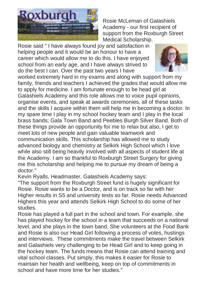

Rosie McLeman of Galashiels Academy - our first recipient of support from the Roxburgh Street Medical Scholarship.

Rosie said " I have always found joy and satisfaction in helping people and it would be an honour to have a career which would allow me to do this. I have enjoyed school from an early age, and I have always strived to do the best I can. Over the past two years I have



worked extremely hard in my exams and along with support from my family, friends and teachers I achieved the grades that would allow me to apply for medicine. I am fortunate enough to be head girl at Galashiels Academy and this role allows me to voice pupil opinions, organise events, and speak at awards ceremonies, all of these tasks and the skills I acquire within them will help me in becoming a doctor. In my spare time I play in my school hockey team and I play in the local brass bands; Gala Town Band and Peebles Burgh Silver Band. Both of these things provide an opportunity for me to relax but also, I get to meet lots of new people and gain valuable teamwork and communication skills. This scholarship has allowed me to study advanced biology and chemistry at Selkirk High School which I love while also still being heavily involved with all aspects of student life at the Academy. I am so thankful to Roxburgh Street Surgery for giving me this scholarship and helping me to pursue my dream of being a doctor."

Kevin Ryalls, Headmaster, Galashiels Academy says:

"The support from the Roxburgh Street fund is hugely significant for Rosie. Rosie wants to be a Doctor, and is on track so far with her Higher results in S5 and university tests so far. Rosie needs Advanced Highers this year and attends Selkirk High School to do some of her studies.

Rosie has played a full part in the school and town. For example, she has played hockey for the school in a team that succeeds on a national level, and she plays in the town band. She volunteers at the Food Bank and Rosie is also our Head Girl following a process of votes, hustings and interviews. These commitments make the travel between Selkirk and Galashiels very challenging to be Head Girl and to keep going in the hockey team. The funds means that Rosie can attend training and vital school classes. Put simply, this makes it easier for Rosie to maintain her health and wellbeing, keep on top of commitments in school and have more time for her studies."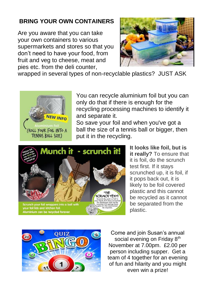# **BRING YOUR OWN CONTAINERS**

Are you aware that you can take your own containers to various supermarkets and stores so that you don't need to have your food, from fruit and veg to cheese, meat and pies etc. from the deli counter,



wrapped in several types of non-recyclable plastics? JUST ASK



You can recycle aluminium foil but you can only do that if there is enough for the recycling processing machines to identify it and separate it.

So save your foil and when you've got a ball the size of a tennis ball or bigger, then put it in the recycling.



**It looks like foil, but is it really?** To ensure that it is foil, do the scrunch test first. If it stays scrunched up, it is foil, if it pops back out, it is likely to be foil covered plastic and this cannot be recycled as it cannot be separated from the plastic.



Come and join Susan's annual social evening on Friday 8<sup>th</sup> November at 7.00pm. £2.00 per person including supper. Get a team of 4 together for an evening of fun and hilarity and you might even win a prize!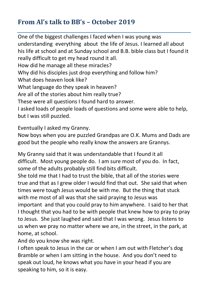# **From Al's talk to BB's – October 2019**

One of the biggest challenges I faced when I was young was understanding everything about the life of Jesus. I learned all about his life at school and at Sunday school and B.B. bible class but I found it really difficult to get my head round it all. How did he manage all these miracles? Why did his disciples just drop everything and follow him? What does heaven look like? What language do they speak in heaven? Are all of the stories about him really true? These were all questions I found hard to answer. I asked loads of people loads of questions and some were able to help, but I was still puzzled.

Eventually I asked my Granny.

Now boys when you are puzzled Grandpas are O.K. Mums and Dads are good but the people who really know the answers are Grannys.

My Granny said that it was understandable that I found it all difficult. Most young people do. I am sure most of you do. In fact, some of the adults probably still find bits difficult.

She told me that I had to trust the bible, that all of the stories were true and that as I grew older I would find that out. She said that when times were tough Jesus would be with me. But the thing that stuck with me most of all was that she said praying to Jesus was important and that you could pray to him anywhere. I said to her that I thought that you had to be with people that knew how to pray to pray to Jesus. She just laughed and said that I was wrong. Jesus listens to us when we pray no matter where we are, in the street, in the park, at home, at school.

And do you know she was right.

I often speak to Jesus in the car or when I am out with Fletcher's dog Bramble or when I am sitting in the house. And you don't need to speak out loud, he knows what you have in your head if you are speaking to him, so it is easy.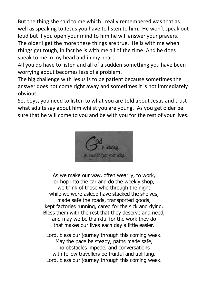But the thing she said to me which I really remembered was that as well as speaking to Jesus you have to listen to him. He won't speak out loud but if you open your mind to him he will answer your prayers. The older I get the more these things are true. He is with me when things get tough, in fact he is with me all of the time. And he does speak to me in my head and in my heart.

All you do have to listen and all of a sudden something you have been worrying about becomes less of a problem.

The big challenge with Jesus is to be patient because sometimes the answer does not come right away and sometimes it is not immediately obvious.

So, boys, you need to listen to what you are told about Jesus and trust what adults say about him whilst you are young. As you get older be sure that he will come to you and be with you for the rest of your lives.



As we make our way, often wearily, to work, or hop into the car and do the weekly shop, we think of those who through the night while we were asleep have stacked the shelves, made safe the roads, transported goods, kept factories running, cared for the sick and dying. Bless them with the rest that they deserve and need, and may we be thankful for the work they do that makes our lives each day a little easier.

Lord, bless our journey through this coming week. May the pace be steady, paths made safe, no obstacles impede, and conversations with fellow travellers be fruitful and uplifting. Lord, bless our journey through this coming week.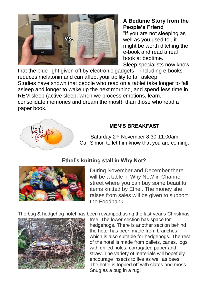

#### **A Bedtime Story from the People's Friend**

"If you are not sleeping as well as you used to , it might be worth ditching the e-book and read a real book at bedtime.

Sleep specialists now know

that the blue light given off by electronic gadgets – including e-books – reduces melatonin and can affect your ability to fall asleep. Studies have shown that people who read on a tablet take longer to fall asleep and longer to wake up the next morning, and spend less time in REM sleep (active sleep, when we process emotions, learn, consolidate memories and dream the most), than those who read a paper book."



## **MEN'S BREAKFAST**

Saturday 2nd November 8.30-11.00am Call Simon to let him know that you are coming.

# **Ethel's knitting stall in Why Not?**



During November and December there will be a table in Why Not? in Channel street where you can buy some beautiful items knitted by Ethel. The money she raises from sales will be given to support the Foodbank

The bug & hedgehog hotel has been revamped using the last year's Christmas



tree. The lower section has space for hedgehogs. There is another section behind the hotel has been made from branches which is also suitable for hedgehogs. The rest of the hotel is made from pallets, canes, logs with drilled holes, corrugated paper and straw. The variety of materials will hopefully encourage insects to live as well as bees. The hotel is topped off with slates and moss. Snug as a bug in a rug!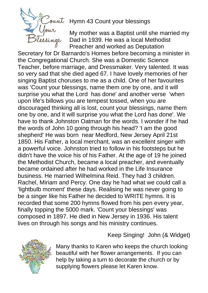

Hymn 43 Count your blessings

My mother was a Baptist until she married my Dad in 1939. He was a local Methodist Preacher and worked as Deputation

Secretary for Dr Barnardo's Homes before becoming a minister in the Congregational Church. She was a Domestic Science Teacher, before marriage, and Dressmaker. Very talented. It was so very sad that she died aged 67. I have lovely memories of her singing Baptist choruses to me as a child. One of her favourites was 'Count your blessings, name them one by one, and it will surprise you what the Lord has done' and another verse 'when upon life's billows you are tempest tossed, when you are discouraged thinking all is lost, count your blessings, name them one by one, and it will surprise you what the Lord has done'. We have to thank Johnston Oatman for the words. I wonder if he had the words of John 10 going through his head? 'I am the good shepherd' He was born near Medford, New Jersey April 21st 1850. His Father, a local merchant, was an excellent singer with a powerful voice. Johnston tried to follow in his footsteps but he didn't have the voice his of his Father. At the age of 19 he joined the Methodist Church, became a local preacher, and eventually became ordained after he had worked in the Life Insurance business. He married Wilhelmina Reid. They had 3 children. Rachel, Miriam and Percy. One day he had what we could call a 'lightbulb moment' these days. Realising he was never going to be a singer like his Father he decided to WRITE hymns. It is recorded that some 200 hymns flowed from his pen every year, finally topping the 5000 mark. 'Count your blessings' was composed in 1897. He died in New Jersey in 1936. His talent lives on through his songs and his ministry continues.

Keep Singing! John (& Widget)

Many thanks to Karen who keeps the church looking beautiful with her flower arrangements. If you can help by taking a turn to decorate the church or by supplying flowers please let Karen know.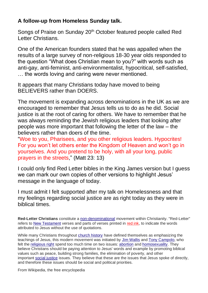#### **A follow-up from Homeless Sunday talk.**

Songs of Praise on Sunday 20<sup>th</sup> October featured people called Red Letter Christians.

One of the American founders stated that he was appalled when the results of a large survey of non-religious 18-30 year olds responded to the question "What does Christian mean to you?" with words such as anti-gay, anti-feminist, anti-environmentalist, hypocritical, self-satisfied, … the words loving and caring were never mentioned.

It appears that many Christians today have moved to being BELIEVERS rather than DOERS.

The movement is expanding across denominations in the UK as we are encouraged to remember that Jesus tells us to do as he did. Social justice is at the root of caring for others. We have to remember that he was always reminding the Jewish religious leaders that looking after people was more important that following the letter of the law – the believers rather than doers of the time.

"Woe to you, Pharisees, and you other religious leaders. Hypocrites! For you won't let others enter the Kingdom of Heaven and won't go in yourselves. And you pretend to be holy, with all your long, public prayers in the streets," (Matt 23: 13)

I could only find Red Letter bibles in the King James version but I guess we can mark our own copies of other versions to highlight Jesus' message in the language of today.

I must admit I felt supported after my talk on Homelessness and that my feelings regarding social justice are as right today as they were in biblical times.

**Red-Letter Christians** constitute a [non-denominational](https://en.wikipedia.org/wiki/Non-denominational) movement within Christianity. "Red-Letter" refers to [New Testament](https://en.wikipedia.org/wiki/New_Testament) verses and parts of verses printed in [red ink,](https://en.wikipedia.org/wiki/Red_letter_edition) to indicate the words attributed to Jesus without the use of quotations.

While many Christians throughout [church history](https://en.wikipedia.org/wiki/Church_history) have defined themselves as emphasizing the teachings of Jesus, this modern movement was initiated by [Jim Wallis](https://en.wikipedia.org/wiki/Jim_Wallis) and [Tony Campolo,](https://en.wikipedia.org/wiki/Tony_Campolo) who felt the [religious right](https://en.wikipedia.org/wiki/Christian_Right) spend too much time on two issues: [abortion](https://en.wikipedia.org/wiki/Christianity_and_abortion) and [homosexuality.](https://en.wikipedia.org/wiki/Christianity_and_homosexuality) They believe Christians should be paying attention to Jesus' words and example by promoting biblical values such as peace, building strong families, the elimination of poverty, and other important [social justice](https://en.wikipedia.org/wiki/Social_justice) issues. They believe that these are the issues that Jesus spoke of directly, and therefore these issues should be social and political priorities.

From Wikipedia, the free encyclopedia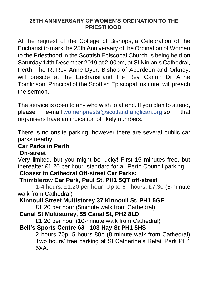#### **25TH ANNIVERSARY OF WOMEN'S ORDINATION TO THE PRIESTHOOD**

At the request of the College of Bishops, a Celebration of the Eucharist to mark the 25th Anniversary of the Ordination of Women to the Priesthood in the Scottish Episcopal Church is being held on Saturday 14th December 2019 at 2.00pm, at St Ninian's Cathedral, Perth. The Rt Rev Anne Dyer, Bishop of Aberdeen and Orkney, will preside at the Eucharist and the Rev Canon Dr Anne Tomlinson, Principal of the Scottish Episcopal Institute, will preach the sermon.

The service is open to any who wish to attend. If you plan to attend, please e-mail [womenpriests@scotland.anglican.org](mailto:womenpriests@scotland.anglican.org) so that organisers have an indication of likely numbers.

There is no onsite parking, however there are several public car parks nearby:

#### **Car Parks in Perth**

#### **On-street**

Very limited, but you might be lucky! First 15 minutes free, but thereafter £1.20 per hour, standard for all Perth Council parking.

## **Closest to Cathedral Off-street Car Parks:**

# **Thimblerow Car Park, Paul St, PH1 5QT off-street**

1-4 hours: £1.20 per hour; Up to 6 hours: £7.30 (5-minute walk from Cathedral)

# **Kinnoull Street Multistorey 37 Kinnoull St, PH1 5GE**

£1.20 per hour (5minute walk from Cathedral)

## **Canal St Multistorey, 55 Canal St, PH2 8LD**

£1.20 per hour (10-minute walk from Cathedral)

# **Bell's Sports Centre 63 - 103 Hay St PH1 5HS**

2 hours 70p; 5 hours 80p (8 minute walk from Cathedral) Two hours' free parking at St Catherine's Retail Park PH1 5XA.